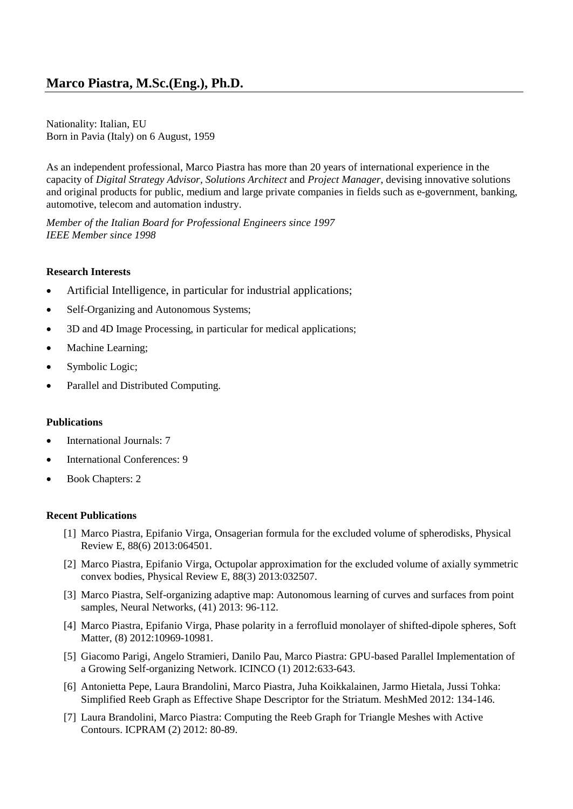Nationality: Italian, EU Born in Pavia (Italy) on 6 August, 1959

As an independent professional, Marco Piastra has more than 20 years of international experience in the capacity of *Digital Strategy Advisor, Solutions Architect* and *Project Manager*, devising innovative solutions and original products for public, medium and large private companies in fields such as e-government, banking, automotive, telecom and automation industry.

*Member of the Italian Board for Professional Engineers since 1997 IEEE Member since 1998*

#### **Research Interests**

- Artificial Intelligence, in particular for industrial applications;
- Self-Organizing and Autonomous Systems;
- 3D and 4D Image Processing, in particular for medical applications;
- Machine Learning;
- Symbolic Logic;
- Parallel and Distributed Computing.

#### **Publications**

- International Journals: 7
- International Conferences: 9
- Book Chapters: 2

#### **Recent Publications**

- [1] Marco Piastra, Epifanio Virga, Onsagerian formula for the excluded volume of spherodisks, Physical Review E, 88(6) 2013:064501.
- [2] Marco Piastra, Epifanio Virga, Octupolar approximation for the excluded volume of axially symmetric convex bodies, Physical Review E, 88(3) 2013:032507.
- [3] Marco Piastra, Self-organizing adaptive map: Autonomous learning of curves and surfaces from point samples, Neural Networks, (41) 2013: 96-112.
- [4] Marco Piastra, Epifanio Virga, Phase polarity in a ferrofluid monolayer of shifted-dipole spheres, Soft Matter, (8) 2012:10969-10981.
- [5] Giacomo Parigi, Angelo Stramieri, Danilo Pau, Marco Piastra: GPU-based Parallel Implementation of a Growing Self-organizing Network. ICINCO (1) 2012:633-643.
- [6] Antonietta Pepe, Laura Brandolini, Marco Piastra, Juha Koikkalainen, Jarmo Hietala, Jussi Tohka: Simplified Reeb Graph as Effective Shape Descriptor for the Striatum. MeshMed 2012: 134-146.
- [7] Laura Brandolini, Marco Piastra: Computing the Reeb Graph for Triangle Meshes with Active Contours. ICPRAM (2) 2012: 80-89.